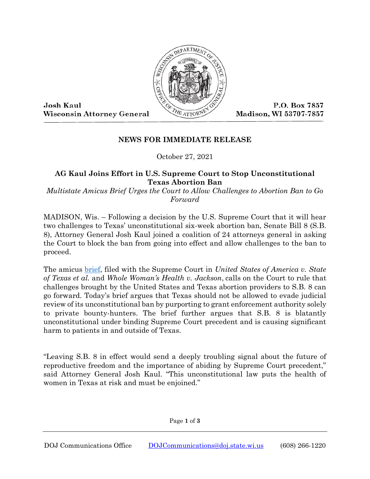

Josh Kaul **Wisconsin Attorney General** 

P.O. Box 7857 Madison, WI 53707-7857

## **NEWS FOR IMMEDIATE RELEASE**

October 27, 2021

## **AG Kaul Joins Effort in U.S. Supreme Court to Stop Unconstitutional Texas Abortion Ban**

*Multistate Amicus Brief Urges the Court to Allow Challenges to Abortion Ban to Go Forward*

MADISON, Wis. – Following a decision by the U.S. Supreme Court that it will hear two challenges to Texas' unconstitutional six-week abortion ban, Senate Bill 8 (S.B. 8), Attorney General Josh Kaul joined a coalition of 24 attorneys general in asking the Court to block the ban from going into effect and allow challenges to the ban to proceed.

The amicus [brief,](https://www.doj.state.wi.us/sites/default/files/news-media/Brief%20of%20Mass.%20et%20al.%20in%2021-463%20and%2021-588.pdfA_.pdf) filed with the Supreme Court in *United States of America v. State of Texas et al.* and *Whole Woman's Health v. Jackson*, calls on the Court to rule that challenges brought by the United States and Texas abortion providers to S.B. 8 can go forward. Today's brief argues that Texas should not be allowed to evade judicial review of its unconstitutional ban by purporting to grant enforcement authority solely to private bounty-hunters. The brief further argues that S.B. 8 is blatantly unconstitutional under binding Supreme Court precedent and is causing significant harm to patients in and outside of Texas.

"Leaving S.B. 8 in effect would send a deeply troubling signal about the future of reproductive freedom and the importance of abiding by Supreme Court precedent," said Attorney General Josh Kaul. "This unconstitutional law puts the health of women in Texas at risk and must be enjoined."

Page **1** of **3**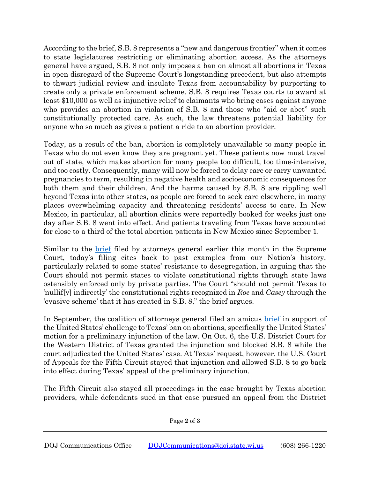According to the brief, S.B. 8 represents a "new and dangerous frontier" when it comes to state legislatures restricting or eliminating abortion access. As the attorneys general have argued, S.B. 8 not only imposes a ban on almost all abortions in Texas in open disregard of the Supreme Court's longstanding precedent, but also attempts to thwart judicial review and insulate Texas from accountability by purporting to create only a private enforcement scheme. S.B. 8 requires Texas courts to award at least \$10,000 as well as injunctive relief to claimants who bring cases against anyone who provides an abortion in violation of S.B. 8 and those who "aid or abet" such constitutionally protected care. As such, the law threatens potential liability for anyone who so much as gives a patient a ride to an abortion provider.

Today, as a result of the ban, abortion is completely unavailable to many people in Texas who do not even know they are pregnant yet. These patients now must travel out of state, which makes abortion for many people too difficult, too time-intensive, and too costly. Consequently, many will now be forced to delay care or carry unwanted pregnancies to term, resulting in negative health and socioeconomic consequences for both them and their children. And the harms caused by S.B. 8 are rippling well beyond Texas into other states, as people are forced to seek care elsewhere, in many places overwhelming capacity and threatening residents' access to care. In New Mexico, in particular, all abortion clinics were reportedly booked for weeks just one day after S.B. 8 went into effect. And patients traveling from Texas have accounted for close to a third of the total abortion patients in New Mexico since September 1.

Similar to the <u>brief</u> filed by attorneys general earlier this month in the Supreme Court, today's filing cites back to past examples from our Nation's history, particularly related to some states' resistance to desegregation, in arguing that the Court should not permit states to violate constitutional rights through state laws ostensibly enforced only by private parties. The Court "should not permit Texas to 'nullif[y] indirectly' the constitutional rights recognized in *Roe* and *Casey* through the 'evasive scheme' that it has created in S.B. 8," the brief argues.

In September, the coalition of attorneys general filed an amicus [brief](https://www.doj.state.wi.us/news-releases/ag-kaul-joins-coalition-support-doj%E2%80%99s-lawsuit-against-texas-abortion-ban) in support of the United States' challenge to Texas' ban on abortions, specifically the United States' motion for a preliminary injunction of the law. On Oct. 6, the U.S. District Court for the Western District of Texas granted the injunction and blocked S.B. 8 while the court adjudicated the United States' case. At Texas' request, however, the U.S. Court of Appeals for the Fifth Circuit stayed that injunction and allowed S.B. 8 to go back into effect during Texas' appeal of the preliminary injunction.

The Fifth Circuit also stayed all proceedings in the case brought by Texas abortion providers, while defendants sued in that case pursued an appeal from the District